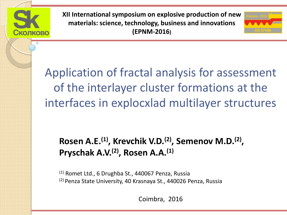

**XII International symposium on explosive production of new materials: science, technology, business and innovations (EPNM-2016)**



Application of fractal analysis for assessment of the interlayer cluster formations at the interfaces in explocxlad multilayer structures

#### Rosen A.E.<sup>(1)</sup>, Krevchik V.D.<sup>(2)</sup>, Semenov M.D.<sup>(2)</sup>, **Pryschak A.V.(2) , Rosen A.A.(1)**

 $(1)$  Romet Ltd., 6 Drughba St., 440067 Penza, Russia (2) Penza State University, 40 Krasnaya St., 440026 Penza, Russia

Coimbra, 2016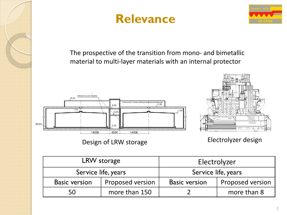





The prospective of the transition from mono- and bimetallic material to multi-layer materials with an internal protector



Design of LRW storage Electrolyzer design

| LRW storage          |                  | Electrolyzer         |                         |
|----------------------|------------------|----------------------|-------------------------|
| Service life, years  |                  | Service life, years  |                         |
| <b>Basic version</b> | Proposed version | <b>Basic version</b> | <b>Proposed version</b> |
| 50                   | more than 150    |                      | more than 8             |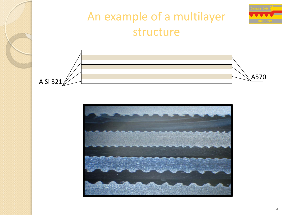

#### An example of a multilayer structure



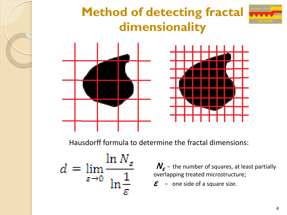## **Method of detecting fractal dimensionality**



Hausdorff formula to determine the fractal dimensions:

$$
d = \lim_{\varepsilon \to 0} \frac{\ln N_{\varepsilon}}{\ln \frac{1}{\varepsilon}}
$$

 $N_{\varepsilon}$  – the number of squares, at least partially overlapping treated microstructure;

 $\boldsymbol{\mathcal{E}}$  – one side of a square size.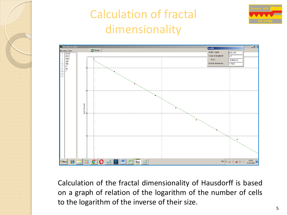

## Calculation of fractal dimensionality





Calculation of the fractal dimensionality of Hausdorff is based on a graph of relation of the logarithm of the number of cells to the logarithm of the inverse of their size.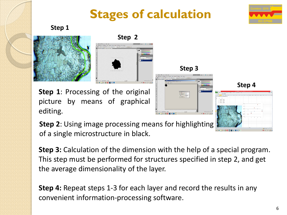## **Stages of calculation**

**Step 3**

 $\begin{tabular}{|l|l|} \hline \hline arcsec & \hline 3.0 \\ \hline \hline 5.000322 & 0 \\ \hline 13.00000 & 0.00022 \\ \hline \end{tabular}$ 





**Step 2**



**Step 2**: Using image processing means for highlighting of a single microstructure in black.

**Step 3:** Calculation of the dimension with the help of a special program. This step must be performed for structures specified in step 2, and get the average dimensionality of the layer.

**Step 4:** Repeat steps 1-3 for each layer and record the results in any convenient information-processing software.



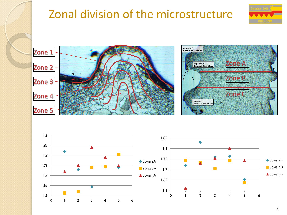#### Zonal division of the microstructure







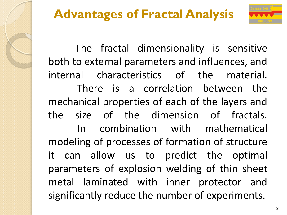

 The fractal dimensionality is sensitive both to external parameters and influences, and internal characteristics of the material. There is a correlation between the mechanical properties of each of the layers and the size of the dimension of fractals. In combination with mathematical modeling of processes of formation of structure it can allow us to predict the optimal parameters of explosion welding of thin sheet metal laminated with inner protector and significantly reduce the number of experiments.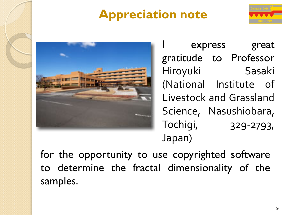## **Appreciation note**





express great gratitude to Professor Hiroyuki Sasaki (National Institute of Livestock and Grassland Science, Nasushiobara, Tochigi, 329-2793, Japan)

for the opportunity to use copyrighted software to determine the fractal dimensionality of the samples.